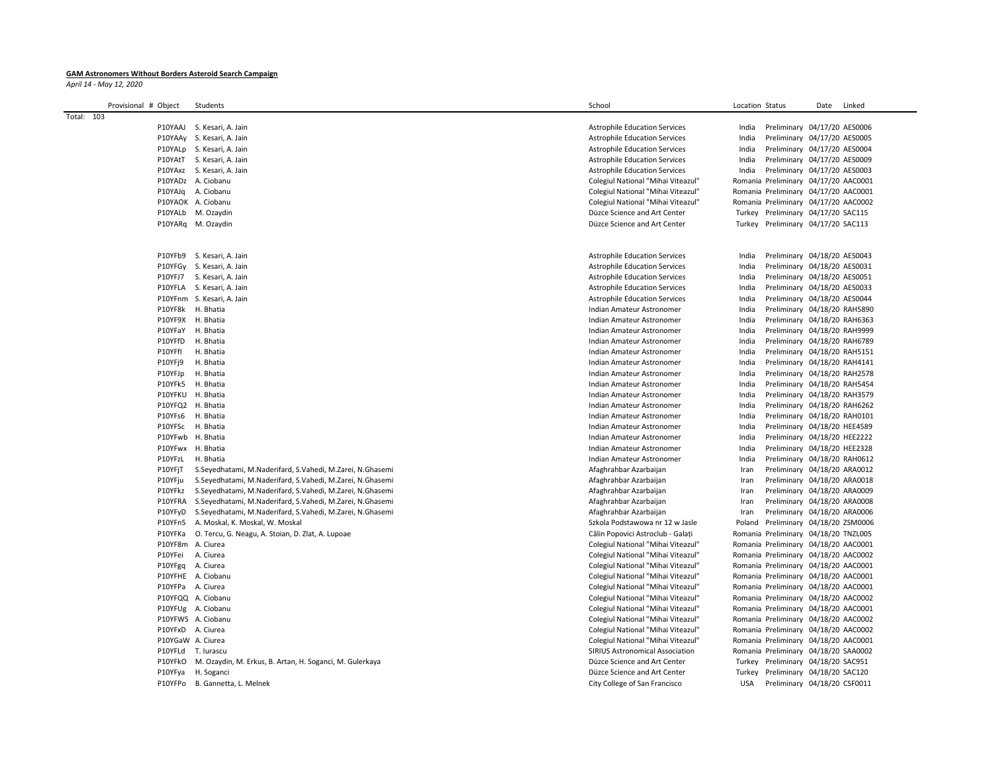## **GAM Astronomers Without Borders Asteroid Search Campaign**

*April 14 - May 12, 2020*

| Provisional # Object | Students                                                  | School                                                 | Location Status |                                                              | Date | Linked |
|----------------------|-----------------------------------------------------------|--------------------------------------------------------|-----------------|--------------------------------------------------------------|------|--------|
| Total: 103           |                                                           |                                                        |                 |                                                              |      |        |
|                      | P10YAAJ S. Kesari, A. Jain                                | <b>Astrophile Education Services</b>                   | India           | Preliminary 04/17/20 AES0006                                 |      |        |
|                      | P10YAAy S. Kesari, A. Jain                                | <b>Astrophile Education Services</b>                   | India           | Preliminary 04/17/20 AES0005                                 |      |        |
|                      | P10YALp S. Kesari, A. Jain                                | <b>Astrophile Education Services</b>                   | India           | Preliminary 04/17/20 AES0004                                 |      |        |
|                      | P10YAtT S. Kesari, A. Jain                                | <b>Astrophile Education Services</b>                   | India           | Preliminary 04/17/20 AES0009                                 |      |        |
|                      | P10YAxz S. Kesari, A. Jain                                | <b>Astrophile Education Services</b>                   | India           | Preliminary 04/17/20 AES0003                                 |      |        |
|                      | P10YADz A. Ciobanu                                        | Colegiul National "Mihai Viteazul"                     |                 | Romania Preliminary 04/17/20 AAC0001                         |      |        |
|                      | P10YAJq A. Ciobanu                                        | Colegiul National "Mihai Viteazul"                     |                 | Romania Preliminary 04/17/20 AAC0001                         |      |        |
|                      | P10YAOK A. Ciobanu                                        | Colegiul National "Mihai Viteazul"                     |                 | Romania Preliminary 04/17/20 AAC0002                         |      |        |
|                      | P10YALb M. Ozaydin                                        | Düzce Science and Art Center                           |                 | Turkey Preliminary 04/17/20 SAC115                           |      |        |
|                      | P10YARq M. Ozaydin                                        | Düzce Science and Art Center                           |                 | Turkey Preliminary 04/17/20 SAC113                           |      |        |
|                      |                                                           |                                                        |                 |                                                              |      |        |
|                      |                                                           |                                                        |                 |                                                              |      |        |
|                      | P10YFb9 S. Kesari, A. Jain                                | <b>Astrophile Education Services</b>                   | India           | Preliminary 04/18/20 AES0043                                 |      |        |
|                      | P10YFGy S. Kesari, A. Jain                                | <b>Astrophile Education Services</b>                   | India           | Preliminary 04/18/20 AES0031                                 |      |        |
|                      | P10YFJ7 S. Kesari, A. Jain                                | <b>Astrophile Education Services</b>                   | India           | Preliminary 04/18/20 AES0051                                 |      |        |
|                      | P10YFLA S. Kesari, A. Jain                                | <b>Astrophile Education Services</b>                   | India           | Preliminary 04/18/20 AES0033                                 |      |        |
|                      | P10YFnm S. Kesari, A. Jain                                | <b>Astrophile Education Services</b>                   | India           | Preliminary 04/18/20 AES0044                                 |      |        |
|                      | P10YF8k H. Bhatia                                         | Indian Amateur Astronomer                              | India           | Preliminary 04/18/20 RAH5890                                 |      |        |
|                      | P10YF9X H. Bhatia                                         | Indian Amateur Astronomer                              | India           | Preliminary 04/18/20 RAH6363                                 |      |        |
|                      | P10YFaY H. Bhatia                                         | Indian Amateur Astronomer                              | India           | Preliminary 04/18/20 RAH9999                                 |      |        |
| P10YFfD<br>P10YFfI   | H. Bhatia<br>H. Bhatia                                    | Indian Amateur Astronomer                              | India           | Preliminary 04/18/20 RAH6789                                 |      |        |
|                      | H. Bhatia                                                 | Indian Amateur Astronomer<br>Indian Amateur Astronomer | India<br>India  | Preliminary 04/18/20 RAH5151                                 |      |        |
| P10YFj9<br>P10YFJp   | H. Bhatia                                                 | Indian Amateur Astronomer                              | India           | Preliminary 04/18/20 RAH4141<br>Preliminary 04/18/20 RAH2578 |      |        |
| P10YFk5              | H. Bhatia                                                 | Indian Amateur Astronomer                              | India           | Preliminary 04/18/20 RAH5454                                 |      |        |
|                      | P10YFKU H. Bhatia                                         | Indian Amateur Astronomer                              | India           | Preliminary 04/18/20 RAH3579                                 |      |        |
|                      | P10YFQ2 H. Bhatia                                         | Indian Amateur Astronomer                              | India           | Preliminary 04/18/20 RAH6262                                 |      |        |
| P10YFs6              | H. Bhatia                                                 | Indian Amateur Astronomer                              | India           | Preliminary 04/18/20 RAH0101                                 |      |        |
|                      | P10YFSc H. Bhatia                                         | Indian Amateur Astronomer                              | India           | Preliminary 04/18/20 HEE4589                                 |      |        |
|                      | P10YFwb H. Bhatia                                         | Indian Amateur Astronomer                              | India           | Preliminary 04/18/20 HEE2222                                 |      |        |
|                      | P10YFwx H. Bhatia                                         | Indian Amateur Astronomer                              | India           | Preliminary 04/18/20 HEE2328                                 |      |        |
| P10YFzL              | H. Bhatia                                                 | Indian Amateur Astronomer                              | India           | Preliminary 04/18/20 RAH0612                                 |      |        |
| P10YFjT              | S.Seyedhatami, M.Naderifard, S.Vahedi, M.Zarei, N.Ghasemi | Afaghrahbar Azarbaijan                                 | Iran            | Preliminary 04/18/20 ARA0012                                 |      |        |
| P10YFju              | S.Seyedhatami, M.Naderifard, S.Vahedi, M.Zarei, N.Ghasemi | Afaghrahbar Azarbaijan                                 | Iran            | Preliminary 04/18/20 ARA0018                                 |      |        |
| P10YFkz              | S.Seyedhatami, M.Naderifard, S.Vahedi, M.Zarei, N.Ghasemi | Afaghrahbar Azarbaijan                                 | Iran            | Preliminary 04/18/20 ARA0009                                 |      |        |
| P10YFRA              | S.Seyedhatami, M.Naderifard, S.Vahedi, M.Zarei, N.Ghasemi | Afaghrahbar Azarbaijan                                 | Iran            | Preliminary 04/18/20 ARA0008                                 |      |        |
| P10YFyD              | S.Seyedhatami, M.Naderifard, S.Vahedi, M.Zarei, N.Ghasemi | Afaghrahbar Azarbaijan                                 | Iran            | Preliminary 04/18/20 ARA0006                                 |      |        |
| P10YFn5              | A. Moskal, K. Moskal, W. Moskal                           | Szkola Podstawowa nr 12 w Jasle                        |                 | Poland Preliminary 04/18/20 ZSM0006                          |      |        |
| P10YFKa              | O. Tercu, G. Neagu, A. Stoian, D. Zlat, A. Lupoae         | Călin Popovici Astroclub - Galati                      |                 | Romania Preliminary 04/18/20 TNZL005                         |      |        |
|                      | P10YF8m A. Ciurea                                         | Colegiul National "Mihai Viteazul"                     |                 | Romania Preliminary 04/18/20 AAC0001                         |      |        |
| P10YFei              | A. Ciurea                                                 | Colegiul National "Mihai Viteazul"                     |                 | Romania Preliminary 04/18/20 AAC0002                         |      |        |
|                      | P10YFgq A. Ciurea                                         | Colegiul National "Mihai Viteazul"                     |                 | Romania Preliminary 04/18/20 AAC0001                         |      |        |
|                      | P10YFHE A. Ciobanu                                        | Colegiul National "Mihai Viteazul"                     |                 | Romania Preliminary 04/18/20 AAC0001                         |      |        |
|                      | P10YFPa A. Ciurea                                         | Colegiul National "Mihai Viteazul"                     |                 | Romania Preliminary 04/18/20 AAC0001                         |      |        |
|                      | P10YFQQ A. Ciobanu                                        | Colegiul National "Mihai Viteazul"                     |                 | Romania Preliminary 04/18/20 AAC0002                         |      |        |
|                      | P10YFUg A. Ciobanu                                        | Colegiul National "Mihai Viteazul"                     |                 | Romania Preliminary 04/18/20 AAC0001                         |      |        |
|                      | P10YFWS A. Ciobanu                                        | Colegiul National "Mihai Viteazul"                     |                 | Romania Preliminary 04/18/20 AAC0002                         |      |        |
| P10YFxD              | A. Ciurea                                                 | Colegiul National "Mihai Viteazul"                     |                 | Romania Preliminary 04/18/20 AAC0002                         |      |        |
|                      | P10YGaW A. Ciurea                                         | Colegiul National "Mihai Viteazul"                     |                 | Romania Preliminary 04/18/20 AAC0001                         |      |        |
| P10YFLd              | T. lurascu                                                | <b>SIRIUS Astronomical Association</b>                 |                 | Romania Preliminary 04/18/20 SAA0002                         |      |        |
| P10YFkO              | M. Ozaydin, M. Erkus, B. Artan, H. Soganci, M. Gulerkaya  | Düzce Science and Art Center                           |                 | Turkey Preliminary 04/18/20 SAC951                           |      |        |
| P10YFya              | H. Soganci                                                | Düzce Science and Art Center                           |                 | Turkey Preliminary 04/18/20 SAC120                           |      |        |
|                      | P10YFPo B. Gannetta, L. Melnek                            | City College of San Francisco                          | <b>USA</b>      | Preliminary 04/18/20 CSF0011                                 |      |        |